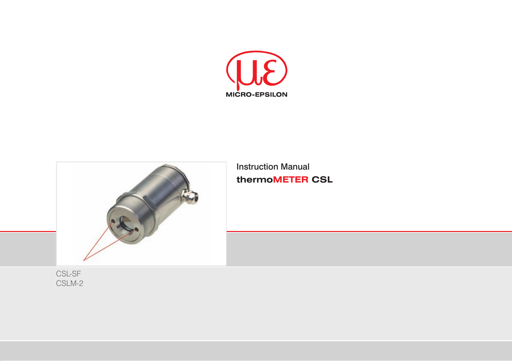



Instruction Manual **thermoMETER CSL**

CSL-SF CSLM-2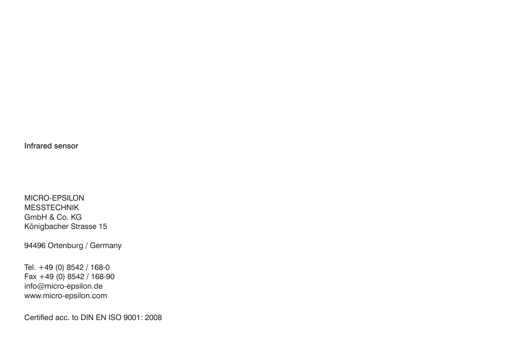Infrared sensor

MICRO-EPSILON MESSTECHNIK GmbH & Co. KG Königbacher Strasse 15

94496 Ortenburg / Germany

Tel. +49 (0) 8542 / 168-0 Fax +49 (0) 8542 / 168-90 info@micro-epsilon.de www.micro-epsilon.com

Certified acc. to DIN EN ISO 9001: 2008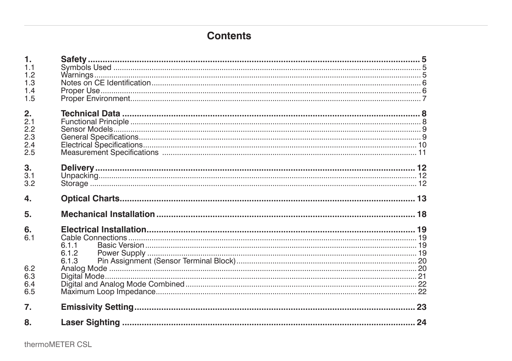# **Contents**

| $\mathbf{1}$ . |       |  |
|----------------|-------|--|
| 1.1            |       |  |
| 1.2            |       |  |
| 1.3            |       |  |
| 1.4            |       |  |
| 1.5            |       |  |
|                |       |  |
| 2.             |       |  |
| 2.1            |       |  |
| 2.2            |       |  |
| 2.3            |       |  |
| 2.4            |       |  |
| 2.5            |       |  |
| 3.             |       |  |
| 3.1            |       |  |
| 3.2            |       |  |
|                |       |  |
| 4.             |       |  |
| 5.             |       |  |
| 6.             |       |  |
| 6.1            |       |  |
|                | 6.1.1 |  |
|                | 6.1.2 |  |
|                | 6.1.3 |  |
| 6.2            |       |  |
| 6.3            |       |  |
| 6.4            |       |  |
| 6.5            |       |  |
|                |       |  |
| 7.             |       |  |
| 8.             |       |  |
|                |       |  |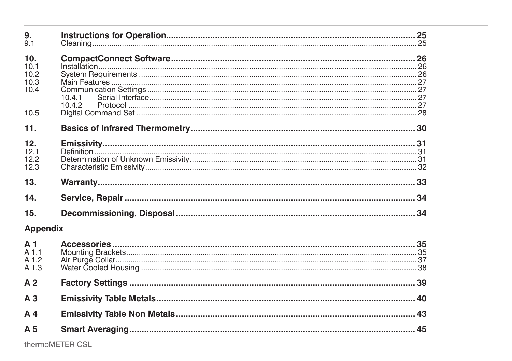| 9.              |        |  |
|-----------------|--------|--|
| 9.1             |        |  |
| 10.             |        |  |
| 10.1            |        |  |
| 10.2            |        |  |
| 10.3            |        |  |
| 10.4            |        |  |
|                 | 10.4.1 |  |
|                 | 10.4.2 |  |
| 10.5            |        |  |
| 11.             |        |  |
| 12.             |        |  |
| 12.1            |        |  |
| 12.2            |        |  |
| 12.3            |        |  |
| 13.             |        |  |
| 14.             |        |  |
| 15.             |        |  |
| <b>Appendix</b> |        |  |
| A <sub>1</sub>  |        |  |
| $A$ 1.1         |        |  |
| A 1.2           |        |  |
| A 1.3           |        |  |
| A <sub>2</sub>  |        |  |
| A <sub>3</sub>  |        |  |
| A <sub>4</sub>  |        |  |
| A <sub>5</sub>  |        |  |
|                 |        |  |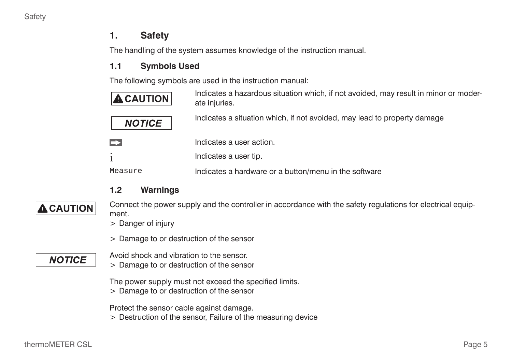## <span id="page-4-0"></span>**1. Safety**

The handling of the system assumes knowledge of the instruction manual.

## **1.1 Symbols Used**

The following symbols are used in the instruction manual:

| $\blacktriangle$ CAUTION | Indicates a hazardous situation which, if not avoided, may result in minor or moder-<br>ate injuries. |
|--------------------------|-------------------------------------------------------------------------------------------------------|
| <b>NOTICE</b>            | Indicates a situation which, if not avoided, may lead to property damage                              |
| $\rightarrow$            | Indicates a user action.                                                                              |
|                          | Indicates a user tip.                                                                                 |
| Measure                  | Indicates a hardware or a button/menu in the software                                                 |

## **1.2 Warnings**



Connect the power supply and the controller in accordance with the safety regulations for electrical equipment.

- > Danger of injury
- > Damage to or destruction of the sensor

# **NOTICE**

- Avoid shock and vibration to the sensor.
- > Damage to or destruction of the sensor

The power supply must not exceed the specified limits.

> Damage to or destruction of the sensor

Protect the sensor cable against damage.

> Destruction of the sensor, Failure of the measuring device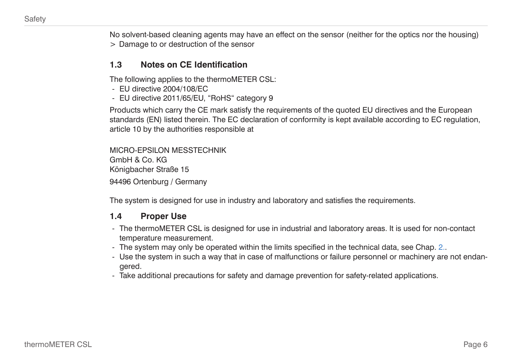<span id="page-5-0"></span>No solvent-based cleaning agents may have an effect on the sensor (neither for the optics nor the housing) > Damage to or destruction of the sensor

#### **1.3 Notes on CE Identification**

The following applies to the thermoMETER CSL:

- EU directive 2004/108/EC
- EU directive 2011/65/EU, "RoHS" category 9

Products which carry the CE mark satisfy the requirements of the quoted EU directives and the European standards (EN) listed therein. The EC declaration of conformity is kept available according to EC regulation, article 10 by the authorities responsible at

MICRO-EPSILON MESSTECHNIK GmbH & Co. KG Königbacher Straße 15 94496 Ortenburg / Germany

The system is designed for use in industry and laboratory and satisfies the requirements.

#### **1.4 Proper Use**

- The thermoMETER CSL is designed for use in industrial and laboratory areas. It is used for non-contact temperature measurement.
- The system may only be operated within the limits specified in the technical dat[a, see Chap. 2.](#page-7-1).
- Use the system in such a way that in case of malfunctions or failure personnel or machinery are not endangered.
- Take additional precautions for safety and damage prevention for safety-related applications.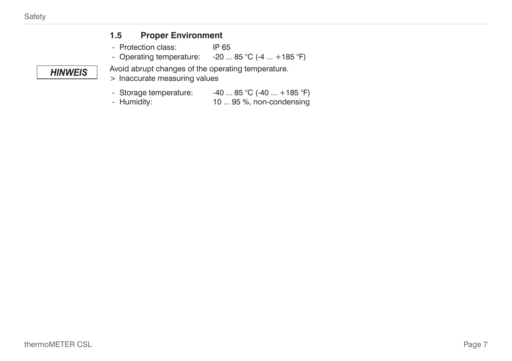<span id="page-6-0"></span>**HINWEIS** 

### **1.5 Proper Environment**

- Protection class: IP 65<br>- Operating temperature: -20...
- $-20$  ... 85 °C (-4 ... +185 °F)

Avoid abrupt changes of the operating temperature.

- > Inaccurate measuring values
- Storage temperature:  $-40$  ... 85 °C (-40 ... +185 °F)
- Humidity: 10 ... 95 %, non-condensing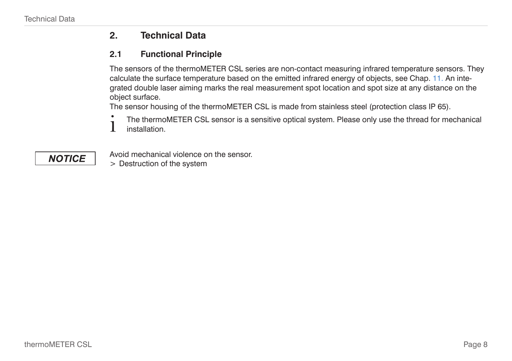**NOTICE** 

## <span id="page-7-1"></span><span id="page-7-0"></span>**2. Technical Data**

### **2.1 Functional Principle**

The sensors of the thermoMETER CSL series are non-contact measuring infrared temperature sensors. They calculate the surface temperature based on the emitted infrared energy of objects[, see Chap. 11.](#page-29-1) An integrated double laser aiming marks the real measurement spot location and spot size at any distance on the object surface.

The sensor housing of the thermoMETER CSL is made from stainless steel (protection class IP 65).

The thermoMETER CSL sensor is a sensitive optical system. Please only use the thread for mechanical<br>Installation installation.

Avoid mechanical violence on the sensor.

> Destruction of the system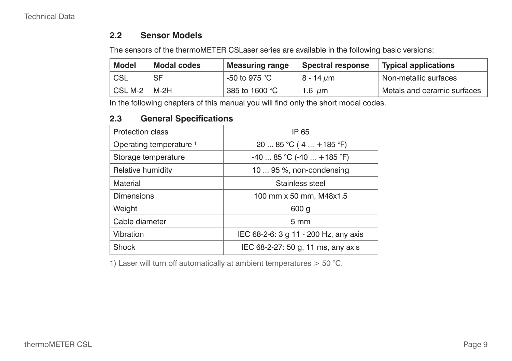### <span id="page-8-0"></span>**2.2 Sensor Models**

The sensors of the thermoMETER CSLaser series are available in the following basic versions:

| Model   | Modal codes | <b>Measuring range</b> | Spectral response | Typical applications        |
|---------|-------------|------------------------|-------------------|-----------------------------|
| ' CSL   | SF          | -50 to 975 °C          | 8 - 14 <i>u</i> m | Non-metallic surfaces       |
| CSL M-2 | M-2H        | 385 to 1600 °C         | 1.6 $\mu$ m       | Metals and ceramic surfaces |

In the following chapters of this manual you will find only the short modal codes.

### **2.3 General Specifications**

| Protection class                   | IP 65                                 |  |  |
|------------------------------------|---------------------------------------|--|--|
| Operating temperature <sup>1</sup> | $-2085$ °C ( $-4+185$ °F)             |  |  |
| Storage temperature                | $-40$ 85 °C (-40  +185 °F)            |  |  |
| Relative humidity                  | 10  95 %, non-condensing              |  |  |
| Material                           | Stainless steel                       |  |  |
| <b>Dimensions</b>                  | 100 mm x 50 mm, M48x1.5               |  |  |
| Weight                             | 600q                                  |  |  |
| Cable diameter                     | $5 \text{ mm}$                        |  |  |
| Vibration                          | IEC 68-2-6: 3 g 11 - 200 Hz, any axis |  |  |
| Shock                              | IEC 68-2-27: 50 g, 11 ms, any axis    |  |  |

1) Laser will turn off automatically at ambient temperatures  $>$  50 °C.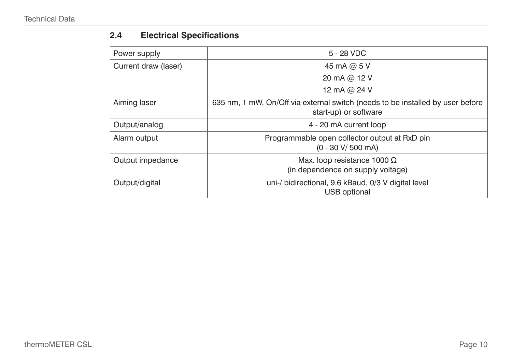# <span id="page-9-0"></span>**2.4 Electrical Specifications**

| Power supply                                                                                | 5 - 28 VDC                                                                                              |  |
|---------------------------------------------------------------------------------------------|---------------------------------------------------------------------------------------------------------|--|
| Current draw (laser)                                                                        | 45 mA @ 5 V                                                                                             |  |
|                                                                                             | 20 mA @ 12 V                                                                                            |  |
|                                                                                             | 12 mA @ 24 V                                                                                            |  |
| Aiming laser                                                                                | 635 nm, 1 mW, On/Off via external switch (needs to be installed by user before<br>start-up) or software |  |
| Output/analog                                                                               | 4 - 20 mA current loop                                                                                  |  |
| Programmable open collector output at RxD pin<br>Alarm output<br>$(0 - 30 V / 500 mA)$      |                                                                                                         |  |
| Max. loop resistance 1000 $\Omega$<br>Output impedance<br>(in dependence on supply voltage) |                                                                                                         |  |
| Output/digital                                                                              | uni-/ bidirectional, 9.6 kBaud, 0/3 V digital level<br>USB optional                                     |  |
|                                                                                             |                                                                                                         |  |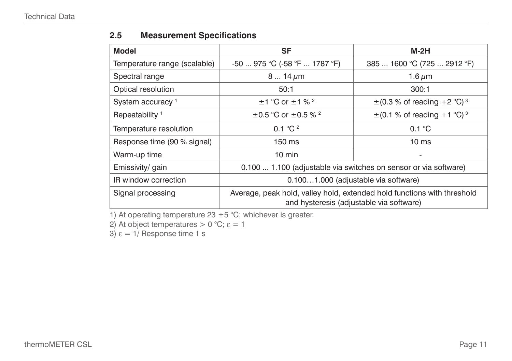### <span id="page-10-0"></span>**2.5 Measurement Specifications**

| <b>Model</b>                 | SF                                                                                                                  | M-2H                                        |  |
|------------------------------|---------------------------------------------------------------------------------------------------------------------|---------------------------------------------|--|
| Temperature range (scalable) | $-50$ 975 °C ( $-58$ °F  1787 °F)                                                                                   | 385  1600 °C (725  2912 °F)                 |  |
| Spectral range               | $814 \,\mu m$                                                                                                       | 1.6 $\mu$ m                                 |  |
| Optical resolution           | 50:1                                                                                                                | 300:1                                       |  |
| System accuracy <sup>1</sup> | $\pm$ 1 °C or $\pm$ 1 % <sup>2</sup>                                                                                | $\pm$ (0.3 % of reading +2 °C) <sup>3</sup> |  |
| Repeatability <sup>1</sup>   | $\pm$ 0.5 °C or $\pm$ 0.5 % <sup>2</sup>                                                                            | $\pm$ (0.1 % of reading +1 °C) <sup>3</sup> |  |
| Temperature resolution       | 0.1 $^{\circ}$ C $^{\circ}$                                                                                         | 0.1 °C                                      |  |
| Response time (90 % signal)  | $150 \text{ ms}$                                                                                                    | 10 <sub>ms</sub>                            |  |
| Warm-up time                 | $10 \text{ min}$                                                                                                    | ٠                                           |  |
| Emissivity/ gain             | 0.100  1.100 (adjustable via switches on sensor or via software)                                                    |                                             |  |
| IR window correction         | 0.1001.000 (adjustable via software)                                                                                |                                             |  |
| Signal processing            | Average, peak hold, valley hold, extended hold functions with threshold<br>and hysteresis (adjustable via software) |                                             |  |

1) At operating temperature 23  $\pm$  5 °C; whichever is greater.

2) At object temperatures  $> 0$  °C;  $\epsilon = 1$ 

3)  $\varepsilon = 1/$  Response time 1 s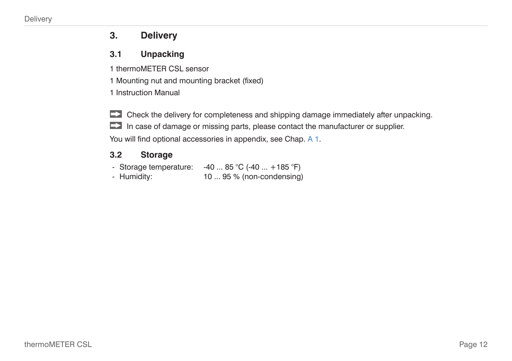## <span id="page-11-0"></span>**3. Delivery**

### **3.1 Unpacking**

1 thermoMETER CSL sensor

1 Mounting nut and mounting bracket (fixed)

1 Instruction Manual

Check the delivery for completeness and shipping damage immediately after unpacking. In case of damage or missing parts, please contact the manufacturer or supplier. You will find optional accessories in appendi[x, see Chap. A 1.](#page-34-1)

### **3.2 Storage**

- Storage temperature:  $-40$  ... 85 °C (-40 ... +185 °F) - Humidity: 10 ... 95 % (non-condensing)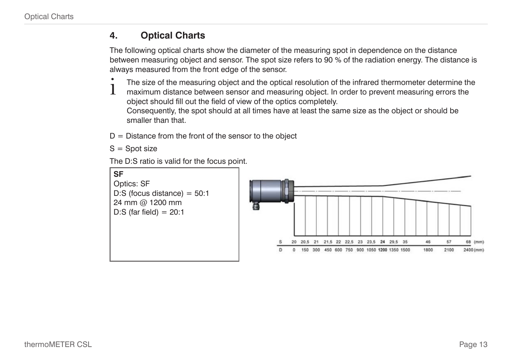## <span id="page-12-1"></span><span id="page-12-0"></span>**4. Optical Charts**

The following optical charts show the diameter of the measuring spot in dependence on the distance between measuring object and sensor. The spot size refers to 90 % of the radiation energy. The distance is always measured from the front edge of the sensor.

- 
- The size of the measuring object and the optical resolution of the infrared thermometer determine the maximum distance between sensor and measuring object. In order to prevent measuring errors the side of the field of view object should fill out the field of view of the optics completely. Consequently, the spot should at all times have at least the same size as the object or should be smaller than that.
- $D =$  Distance from the front of the sensor to the object
- $S =$ Spot size

The D:S ratio is valid for the focus point.

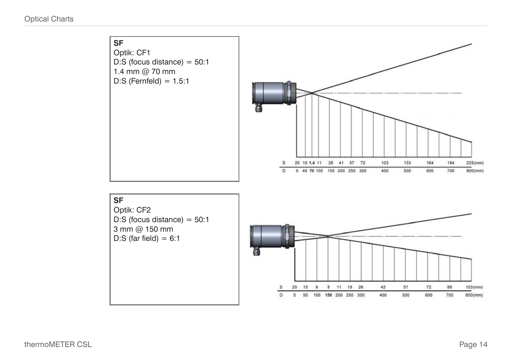



Page 14

 $103$ (mm)

800(mm)

194

700

88

700

 $225$ (mm)

 $800$ (mm)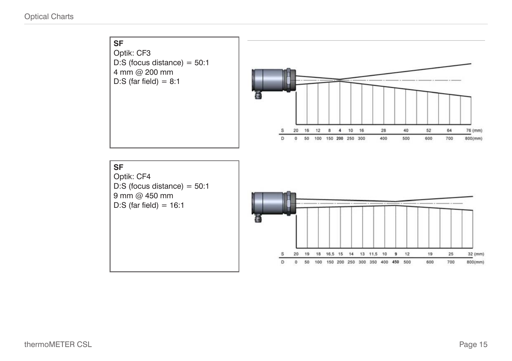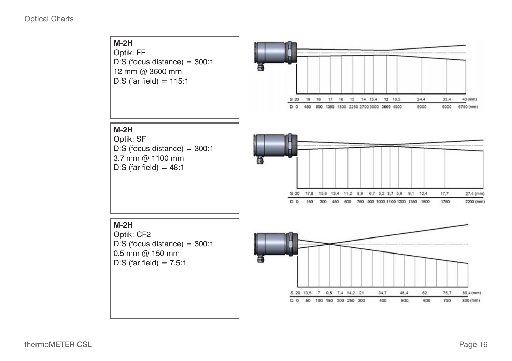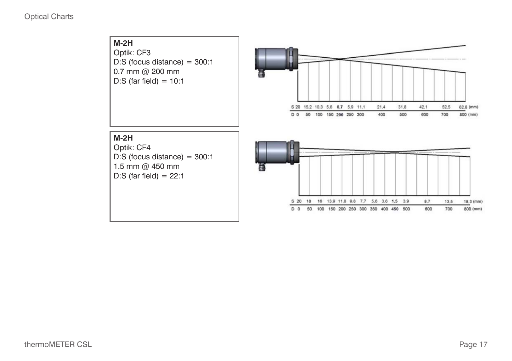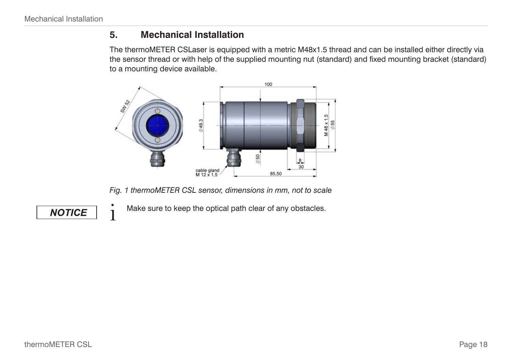## <span id="page-17-0"></span>**5. Mechanical Installation**

The thermoMETER CSLaser is equipped with a metric M48x1.5 thread and can be installed either directly via the sensor thread or with help of the supplied mounting nut (standard) and fixed mounting bracket (standard) to a mounting device available.



*Fig. 1 thermoMETER CSL sensor, dimensions in mm, not to scale*

**NOTICE** 

 $\cdot$  Make sure to keep the optical path clear of any obstacles.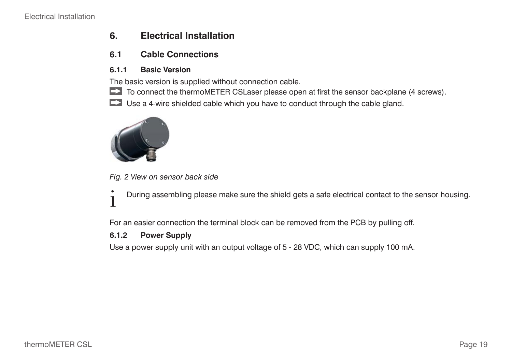## <span id="page-18-0"></span>**6. Electrical Installation**

### <span id="page-18-1"></span>**6.1 Cable Connections**

#### **6.1.1 Basic Version**

The basic version is supplied without connection cable.

To connect the thermoMETER CSLaser please open at first the sensor backplane (4 screws).

Use a 4-wire shielded cable which you have to conduct through the cable gland.



*Fig. 2 View on sensor back side*

**i** During assembling please make sure the shield gets a safe electrical contact to the sensor housing.

For an easier connection the terminal block can be removed from the PCB by pulling off.

#### **6.1.2 Power Supply**

Use a power supply unit with an output voltage of 5 - 28 VDC, which can supply 100 mA.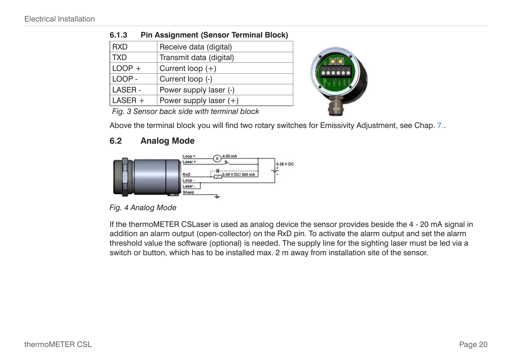| <b>RXD</b>                                                                                                                                                                                                                                | Receive data (digital)   |  |  |  |
|-------------------------------------------------------------------------------------------------------------------------------------------------------------------------------------------------------------------------------------------|--------------------------|--|--|--|
| <b>TXD</b>                                                                                                                                                                                                                                | Transmit data (digital)  |  |  |  |
| $LOOP +$                                                                                                                                                                                                                                  | Current loop $(+)$       |  |  |  |
| LOOP -                                                                                                                                                                                                                                    | Current loop (-)         |  |  |  |
| LASER -                                                                                                                                                                                                                                   | Power supply laser (-)   |  |  |  |
| $LASER +$                                                                                                                                                                                                                                 | Power supply laser $(+)$ |  |  |  |
| $\Gamma$ and $\Omega$ and $\Gamma$ are the set of the set of the transformal to the set of the set of the set of the set of the set of the set of the set of the set of the set of the set of the set of the set of the set of the set of |                          |  |  |  |

#### <span id="page-19-0"></span>**6.1.3 Pin Assignment (Sensor Terminal Block)**



*Fig. 3 Sensor back side with terminal block*

Above the terminal block you will find two rotary switches for Emissivity Adjustmen[t, see Chap. 7..](#page-22-1)

### **6.2 Analog Mode**



*Fig. 4 Analog Mode*

If the thermoMETER CSLaser is used as analog device the sensor provides beside the 4 - 20 mA signal in addition an alarm output (open-collector) on the RxD pin. To activate the alarm output and set the alarm threshold value the software (optional) is needed. The supply line for the sighting laser must be led via a switch or button, which has to be installed max. 2 m away from installation site of the sensor.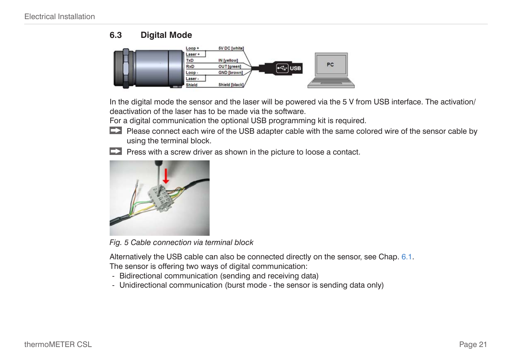### <span id="page-20-0"></span>**6.3 Digital Mode**



In the digital mode the sensor and the laser will be powered via the 5 V from USB interface. The activation/ deactivation of the laser has to be made via the software.

For a digital communication the optional USB programming kit is required.

- Please connect each wire of the USB adapter cable with the same colored wire of the sensor cable by using the terminal block.
- $\Box$  Press with a screw driver as shown in the picture to loose a contact.



*Fig. 5 Cable connection via terminal block*

Alternatively the USB cable can also be connected directly on the senso[r, see Chap. 6.1](#page-18-1).

The sensor is offering two ways of digital communication:

- Bidirectional communication (sending and receiving data)
- Unidirectional communication (burst mode the sensor is sending data only)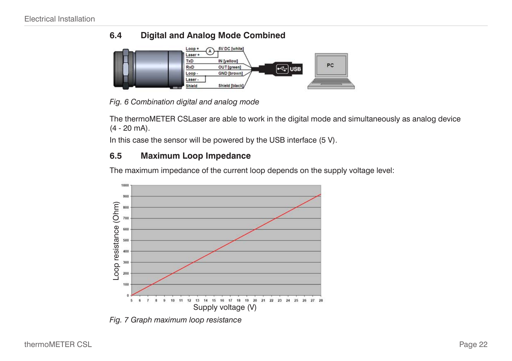## <span id="page-21-0"></span>**6.4 Digital and Analog Mode Combined**



*Fig. 6 Combination digital and analog mode*

The thermoMETER CSLaser are able to work in the digital mode and simultaneously as analog device (4 - 20 mA).

In this case the sensor will be powered by the USB interface (5 V).

### **6.5 Maximum Loop Impedance**

The maximum impedance of the current loop depends on the supply voltage level:



*Fig. 7 Graph maximum loop resistance*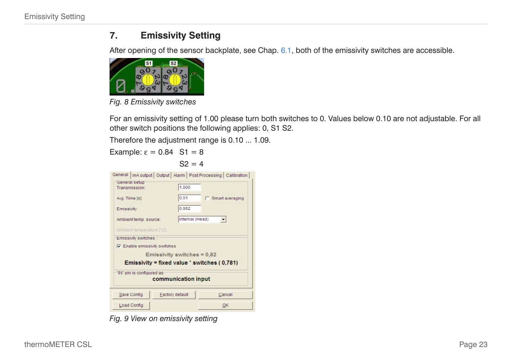## <span id="page-22-1"></span><span id="page-22-0"></span>**7. Emissivity Setting**

After opening of the sensor backplat[e, see Chap. 6.1,](#page-18-1) both of the emissivity switches are accessible.



*Fig. 8 Emissivity switches*

For an emissivity setting of 1.00 please turn both switches to 0. Values below 0.10 are not adjustable. For all other switch positions the following applies: 0, S1 S2.

Therefore the adjustment range is 0.10 ... 1.09.

 $S2 = 4$ 

Example:  $\epsilon = 0.84$  S1 = 8

|                                                                             |                 | General   mA output   Output   Alarm   Post Processing   Calibration |  |  |  |
|-----------------------------------------------------------------------------|-----------------|----------------------------------------------------------------------|--|--|--|
| General setup<br>Transmission:                                              | 1.000           |                                                                      |  |  |  |
| Avg. Time [s]:                                                              | 0.01            | <b>F</b> Smart averaging                                             |  |  |  |
| Emissivity:                                                                 | 0.952           |                                                                      |  |  |  |
| Ambient temp. source:                                                       | Internal (Head) |                                                                      |  |  |  |
| Ambient temperature [FC]:                                                   |                 |                                                                      |  |  |  |
| Emissivity switches:                                                        |                 |                                                                      |  |  |  |
| <b>V</b> Enable emissivity switches                                         |                 |                                                                      |  |  |  |
| Emissivity switches = 0,82<br>Emissivity = fixed value $*$ switches (0.781) |                 |                                                                      |  |  |  |
| IN" pin is configured as:<br>communication input                            |                 |                                                                      |  |  |  |
| Save Config                                                                 | Factory default | Cancel                                                               |  |  |  |
| Load Config                                                                 |                 | OK                                                                   |  |  |  |

*Fig. 9 View on emissivity setting*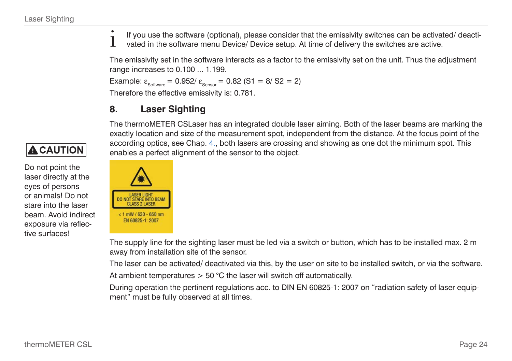<span id="page-23-0"></span> $\ddot{\cdot}$  If you use the software (optional), please consider that the emissivity switches can be activated/ deactivated in the software menu Device/ Device setup. At time of delivery the switches are active.

The emissivity set in the software interacts as a factor to the emissivity set on the unit. Thus the adjustment range increases to 0.100 ... 1.199.

```
Example: \varepsilon_{\text{Software}} = 0.952 / \varepsilon_{\text{Sensor}} = 0.82 (S1 = 8/S2 = 2)
```
Therefore the effective emissivity is: 0.781.

## <span id="page-23-1"></span>**8. Laser Sighting**

The thermoMETER CSLaser has an integrated double laser aiming. Both of the laser beams are marking the exactly location and size of the measurement spot, independent from the distance. At the focus point of the according optics[, see Chap. 4.,](#page-12-1) both lasers are crossing and showing as one dot the minimum spot. This enables a perfect alignment of the sensor to the object.



The supply line for the sighting laser must be led via a switch or button, which has to be installed max. 2 m away from installation site of the sensor.

The laser can be activated/ deactivated via this, by the user on site to be installed switch, or via the software.

At ambient temperatures  $> 50$  °C the laser will switch off automatically.

During operation the pertinent regulations acc. to DIN EN 60825-1: 2007 on "radiation safety of laser equipment" must be fully observed at all times.

# **A** CAUTION

Do not point the laser directly at the eyes of persons or animals! Do not stare into the laser beam. Avoid indirect exposure via reflective surfaces!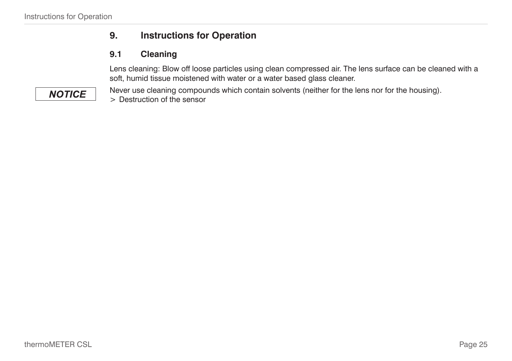## **9. Instructions for Operation**

## **9.1 Cleaning**

Lens cleaning: Blow off loose particles using clean compressed air. The lens surface can be cleaned with a soft, humid tissue moistened with water or a water based glass cleaner.

Never use cleaning compounds which contain solvents (neither for the lens nor for the housing). > Destruction of the sensor

# <span id="page-24-0"></span>**NOTICE**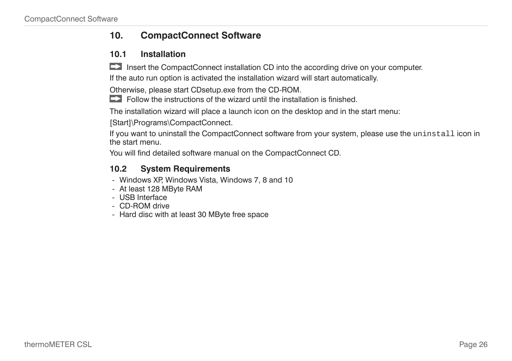## <span id="page-25-0"></span>**10. CompactConnect Software**

#### **10.1 Installation**

**EX** Insert the CompactConnect installation CD into the according drive on your computer.

If the auto run option is activated the installation wizard will start automatically.

Otherwise, please start CDsetup.exe from the CD-ROM.

 $\Box$  Follow the instructions of the wizard until the installation is finished.

The installation wizard will place a launch icon on the desktop and in the start menu:

[Start]\Programs\CompactConnect.

If you want to uninstall the CompactConnect software from your system, please use the uninstall icon in the start menu.

You will find detailed software manual on the CompactConnect CD.

### **10.2 System Requirements**

- Windows XP, Windows Vista, Windows 7, 8 and 10
- At least 128 MByte RAM
- USB Interface
- CD-ROM drive
- Hard disc with at least 30 MByte free space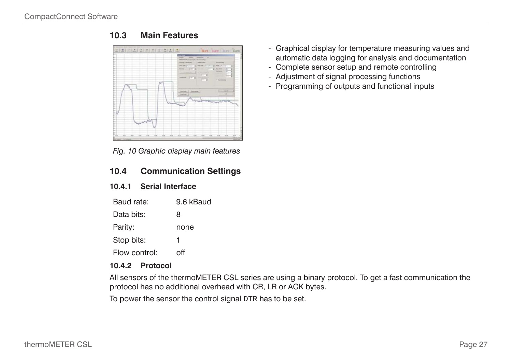

<span id="page-26-0"></span>**10.3 Main Features**

*Fig. 10 Graphic display main features*

#### **10.4 Communication Settings**

#### **10.4.1 Serial Interface**

| Baud rate:    | 9.6 kBaud |
|---------------|-----------|
| Data bits:    | 8         |
| Parity:       | none      |
| Stop bits:    | 1         |
| Flow control: | ∩ff       |

### **10.4.2 Protocol**

All sensors of the thermoMETER CSL series are using a binary protocol. To get a fast communication the protocol has no additional overhead with CR, LR or ACK bytes.

To power the sensor the control signal DTR has to be set.

- Graphical display for temperature measuring values and automatic data logging for analysis and documentation
- Complete sensor setup and remote controlling
- Adjustment of signal processing functions
- Programming of outputs and functional inputs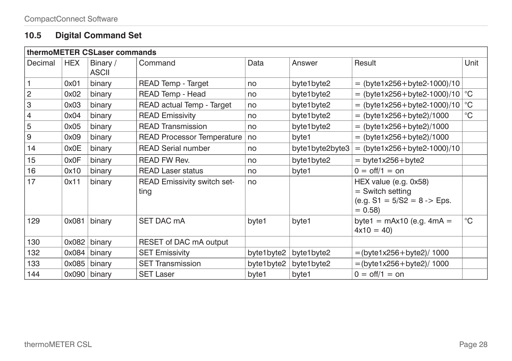# <span id="page-27-0"></span>**10.5 Digital Command Set**

| thermoMETER CSLaser commands |            |                          |                                            |            |                 |                                                                                          |             |
|------------------------------|------------|--------------------------|--------------------------------------------|------------|-----------------|------------------------------------------------------------------------------------------|-------------|
| Decimal                      | <b>HEX</b> | Binary /<br><b>ASCII</b> | Command                                    | Data       | Answer          | Result                                                                                   | Unit        |
|                              | 0x01       | binary                   | READ Temp - Target                         | no         | byte1byte2      | $=$ (byte1x256+byte2-1000)/10                                                            |             |
| $\overline{c}$               | 0x02       | binary                   | READ Temp - Head                           | no         | byte1byte2      | = (byte1x256+byte2-1000)/10 $\degree$ C                                                  |             |
| 3                            | 0x03       | binary                   | READ actual Temp - Target                  | no         | byte1byte2      | = (byte1x256+byte2-1000)/10 $\degree$ C                                                  |             |
| 4                            | 0x04       | binary                   | <b>READ Emissivity</b>                     | no         | byte1byte2      | $=$ (byte1x256+byte2)/1000                                                               | $^{\circ}C$ |
| 5                            | 0x05       | binary                   | <b>READ Transmission</b>                   | no         | byte1byte2      | $=$ (byte1x256+byte2)/1000                                                               |             |
| 9                            | 0x09       | binary                   | <b>READ Processor Temperature</b>          | no         | byte1           | $=$ (byte1x256+byte2)/1000                                                               |             |
| 14                           | 0x0E       | binary                   | <b>READ Serial number</b>                  | no         | byte1byte2byte3 | $=$ (byte1x256+byte2-1000)/10                                                            |             |
| 15                           | 0x0F       | binary                   | <b>READ FW Rev.</b>                        | no         | byte1byte2      | $=$ byte1x256+byte2                                                                      |             |
| 16                           | 0x10       | binary                   | <b>READ Laser status</b>                   | no         | byte1           | $0 = \frac{off}{1} = \text{on}$                                                          |             |
| 17                           | 0x11       | binary                   | <b>READ Emissivity switch set-</b><br>ting | no         |                 | HEX value (e.g. 0x58)<br>$=$ Switch setting<br>(e.g. $S1 = 5/S2 = 8$ -> Eps.<br>$= 0.58$ |             |
| 129                          | 0x081      | binary                   | SET DAC mA                                 | byte1      | byte1           | byte1 = $\text{mAx10}$ (e.g. $\text{4mA}$ =<br>$4x10 = 40$                               | $^{\circ}C$ |
| 130                          | 0x082      | binary                   | RESET of DAC mA output                     |            |                 |                                                                                          |             |
| 132                          | 0x084      | binary                   | <b>SET Emissivity</b>                      | byte1byte2 | byte1byte2      | $=$ (byte1x256+byte2)/1000                                                               |             |
| 133                          | 0x085      | binary                   | <b>SET Transmission</b>                    | byte1byte2 | byte1byte2      | $=$ (byte1x256+byte2)/1000                                                               |             |
| 144                          | 0x090      | binary                   | <b>SET Laser</b>                           | byte1      | byte1           | $0 = \text{off}/1 = \text{on}$                                                           |             |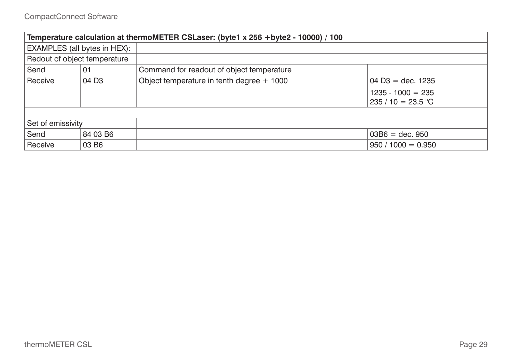| Temperature calculation at thermoMETER CSLaser: (byte1 x 256 +byte2 - 10000) / 100 |                              |                                             |                                     |  |  |
|------------------------------------------------------------------------------------|------------------------------|---------------------------------------------|-------------------------------------|--|--|
|                                                                                    | EXAMPLES (all bytes in HEX): |                                             |                                     |  |  |
| Redout of object temperature                                                       |                              |                                             |                                     |  |  |
| Send                                                                               | 01                           | Command for readout of object temperature   |                                     |  |  |
| Receive                                                                            | 04 D <sub>3</sub>            | Object temperature in tenth degree $+$ 1000 | $04\overline{D}3 = \text{dec.}1235$ |  |  |
|                                                                                    |                              |                                             | $1235 - 1000 = 235$                 |  |  |
|                                                                                    |                              |                                             | $235/10 = 23.5 °C$                  |  |  |
|                                                                                    |                              |                                             |                                     |  |  |
| Set of emissivity                                                                  |                              |                                             |                                     |  |  |
| Send                                                                               | 84 03 B6                     |                                             | $03B6 = dec. 950$                   |  |  |
| Receive                                                                            | 03 B <sub>6</sub>            |                                             | $950 / 1000 = 0.950$                |  |  |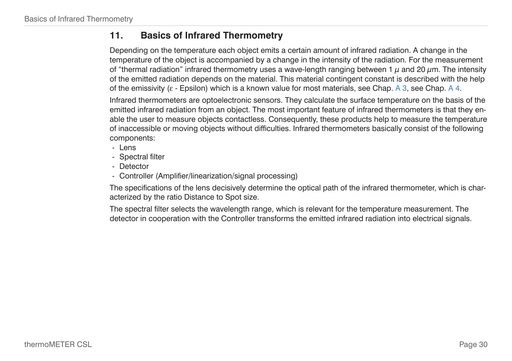## <span id="page-29-1"></span><span id="page-29-0"></span>**11. Basics of Infrared Thermometry**

Depending on the temperature each object emits a certain amount of infrared radiation. A change in the temperature of the object is accompanied by a change in the intensity of the radiation. For the measurement of "thermal radiation" infrared thermometry uses a wave-length ranging between 1  $\mu$  and 20  $\mu$ m. The intensity of the emitted radiation depends on the material. This material contingent constant is described with the help of the emissivity ( $\varepsilon$  - Epsilon) which is a known value for most material[s, see Chap. A 3](#page-39-1)[, see Chap. A 4](#page-42-1).

Infrared thermometers are optoelectronic sensors. They calculate the surface temperature on the basis of the emitted infrared radiation from an object. The most important feature of infrared thermometers is that they enable the user to measure objects contactless. Consequently, these products help to measure the temperature of inaccessible or moving objects without difficulties. Infrared thermometers basically consist of the following components:

- Lens
- Spectral filter
- Detector
- Controller (Amplifier/linearization/signal processing)

The specifications of the lens decisively determine the optical path of the infrared thermometer, which is characterized by the ratio Distance to Spot size.

The spectral filter selects the wavelength range, which is relevant for the temperature measurement. The detector in cooperation with the Controller transforms the emitted infrared radiation into electrical signals.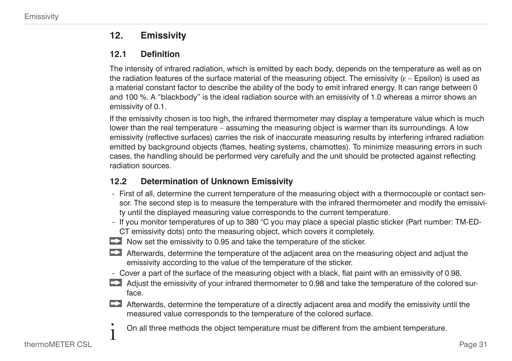## <span id="page-30-0"></span>**12. Emissivity**

### **12.1 Definition**

The intensity of infrared radiation, which is emitted by each body, depends on the temperature as well as on the radiation features of the surface material of the measuring object. The emissivity  $(\varepsilon -$  Epsilon) is used as a material constant factor to describe the ability of the body to emit infrared energy. It can range between 0 and 100 %. A "blackbody" is the ideal radiation source with an emissivity of 1.0 whereas a mirror shows an emissivity of 0.1.

If the emissivity chosen is too high, the infrared thermometer may display a temperature value which is much lower than the real temperature – assuming the measuring object is warmer than its surroundings. A low emissivity (reflective surfaces) carries the risk of inaccurate measuring results by interfering infrared radiation emitted by background objects (flames, heating systems, chamottes). To minimize measuring errors in such cases, the handling should be performed very carefully and the unit should be protected against reflecting radiation sources.

## **12.2 Determination of Unknown Emissivity**

- First of all, determine the current temperature of the measuring object with a thermocouple or contact sensor. The second step is to measure the temperature with the infrared thermometer and modify the emissivity until the displayed measuring value corresponds to the current temperature.
- If you monitor temperatures of up to 380 °C you may place a special plastic sticker (Part number: TM-ED-CT emissivity dots) onto the measuring object, which covers it completely.
- Now set the emissivity to 0.95 and take the temperature of the sticker.
- Afterwards, determine the temperature of the adjacent area on the measuring object and adjust the emissivity according to the value of the temperature of the sticker.
- Cover a part of the surface of the measuring object with a black, flat paint with an emissivity of 0.98.
- Adjust the emissivity of your infrared thermometer to 0.98 and take the temperature of the colored surface.
- $\blacktriangleright$  Afterwards, determine the temperature of a directly adjacent area and modify the emissivity until the measured value corresponds to the temperature of the colored surface.
	- On all three methods the object temperature must be different from the ambient temperature.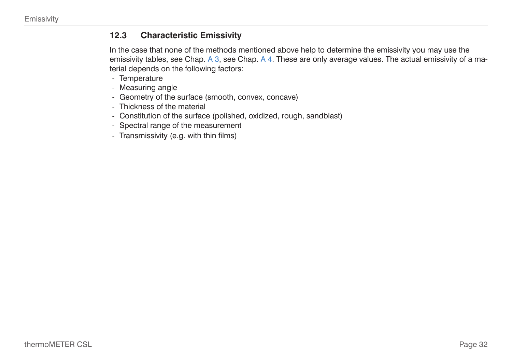### <span id="page-31-0"></span>**12.3 Characteristic Emissivity**

In the case that none of the methods mentioned above help to determine the emissivity you may use the emissivity tables, see Chap. A 3[, see Chap. A 4](#page-42-1). These are only average values. The actual emissivity of a material depends on the following factors:

- Temperature
- Measuring angle
- Geometry of the surface (smooth, convex, concave)
- Thickness of the material
- Constitution of the surface (polished, oxidized, rough, sandblast)
- Spectral range of the measurement
- Transmissivity (e.g. with thin films)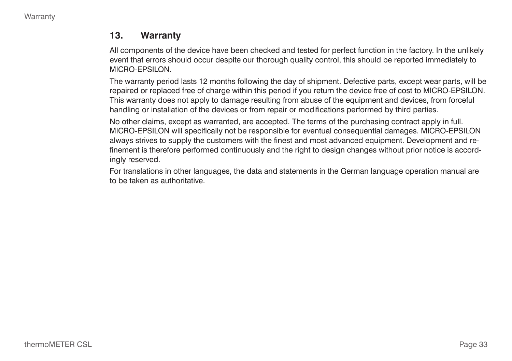### <span id="page-32-0"></span>**13. Warranty**

All components of the device have been checked and tested for perfect function in the factory. In the unlikely event that errors should occur despite our thorough quality control, this should be reported immediately to MICRO-EPSILON.

The warranty period lasts 12 months following the day of shipment. Defective parts, except wear parts, will be repaired or replaced free of charge within this period if you return the device free of cost to MICRO-EPSILON. This warranty does not apply to damage resulting from abuse of the equipment and devices, from forceful handling or installation of the devices or from repair or modifications performed by third parties.

No other claims, except as warranted, are accepted. The terms of the purchasing contract apply in full. MICRO-EPSILON will specifically not be responsible for eventual consequential damages. MICRO-EPSILON always strives to supply the customers with the finest and most advanced equipment. Development and refinement is therefore performed continuously and the right to design changes without prior notice is accordingly reserved.

For translations in other languages, the data and statements in the German language operation manual are to be taken as authoritative.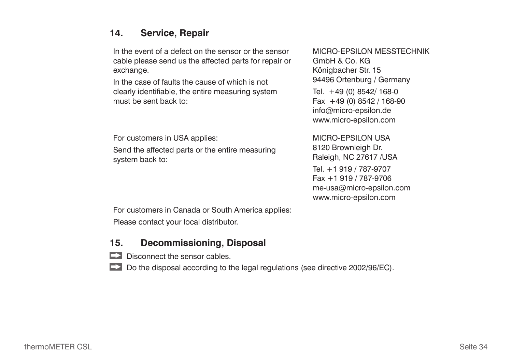## <span id="page-33-0"></span>**14. Service, Repair**

In the event of a defect on the sensor or the sensor cable please send us the affected parts for repair or exchange.

In the case of faults the cause of which is not clearly identifiable, the entire measuring system must be sent back to:

For customers in USA applies:

Send the affected parts or the entire measuring system back to:

MICRO-EPSILON MESSTECHNIK GmbH & Co. KG Königbacher Str. 15 94496 Ortenburg / Germany Tel. +49 (0) 8542/ 168-0 Fax +49 (0) 8542 / 168-90 info@micro-epsilon.de www.micro-epsilon.com

MICRO-EPSILON USA 8120 Brownleigh Dr. Raleigh, NC 27617 /USA Tel. +1 919 / 787-9707 Fax +1 919 / 787-9706 me-usa@micro-epsilon.com www.micro-epsilon.com

For customers in Canada or South America applies:

Please contact your local distributor.

## **15. Decommissioning, Disposal**

- $\Box$  Disconnect the sensor cables.
- Do the disposal according to the legal regulations (see directive 2002/96/EC).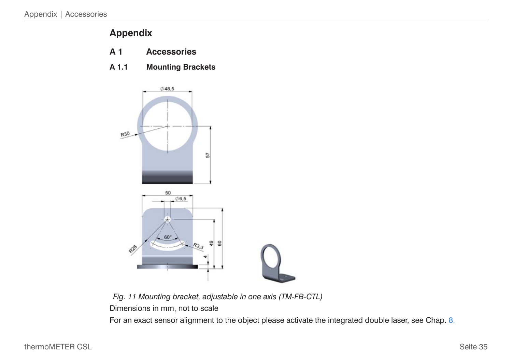# <span id="page-34-0"></span>**Appendix**

- <span id="page-34-1"></span>**A 1 Accessories**
- **A 1.1 Mounting Brackets**



*Fig. 11 Mounting bracket, adjustable in one axis (TM-FB-CTL)*

Dimensions in mm, not to scale

For an exact sensor alignment to the object please activate the integrated double lase[r, see Chap. 8.](#page-23-1)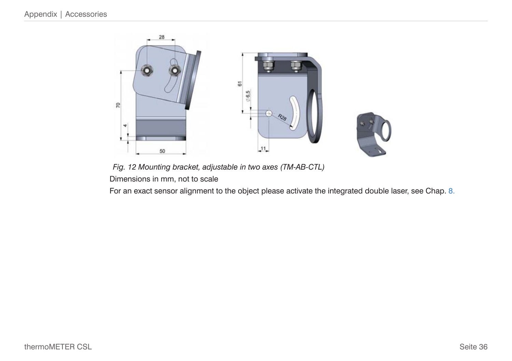

*Fig. 12 Mounting bracket, adjustable in two axes (TM-AB-CTL)* Dimensions in mm, not to scale

For an exact sensor alignment to the object please activate the integrated double lase[r, see Chap. 8.](#page-23-1)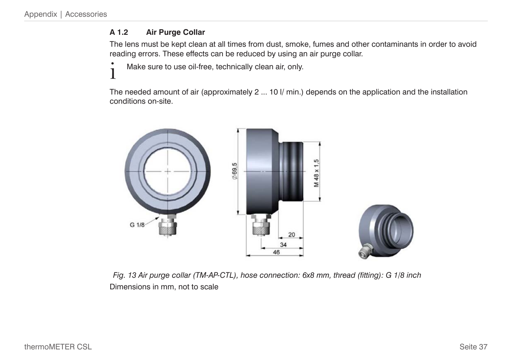### <span id="page-36-1"></span><span id="page-36-0"></span>**A 1.2 Air Purge Collar**

The lens must be kept clean at all times from dust, smoke, fumes and other contaminants in order to avoid reading errors. These effects can be reduced by using an air purge collar.

 $\sum_{i=1}^{n}$  Make sure to use oil-free, technically clean air, only.

The needed amount of air (approximately 2 ... 10 l/ min.) depends on the application and the installation conditions on-site.



*Fig. 13 Air purge collar (TM-AP-CTL), hose connection: 6x8 mm, thread (fitting): G 1/8 inch* Dimensions in mm, not to scale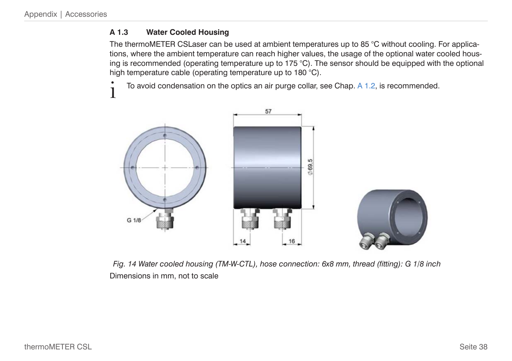### <span id="page-37-0"></span>**A 1.3 Water Cooled Housing**

The thermoMETER CSLaser can be used at ambient temperatures up to 85 °C without cooling. For applications, where the ambient temperature can reach higher values, the usage of the optional water cooled housing is recommended (operating temperature up to 175  $^{\circ}$ C). The sensor should be equipped with the optional high temperature cable (operating temperature up to 180 °C).

To avoid condensation on the optics an air purge colla[r, see Chap. A 1.2](#page-36-1), is recommended.



*Fig. 14 Water cooled housing (TM-W-CTL), hose connection: 6x8 mm, thread (fitting): G 1/8 inch* Dimensions in mm, not to scale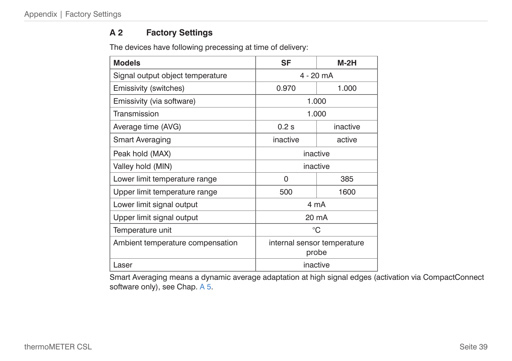### <span id="page-38-0"></span>**A 2 Factory Settings**

The devices have following precessing at time of delivery:

| <b>Models</b>                    | <b>SF</b>                            |          |  |  |
|----------------------------------|--------------------------------------|----------|--|--|
| Signal output object temperature | 4 - 20 mA                            |          |  |  |
| Emissivity (switches)            | 0.970<br>1.000                       |          |  |  |
| Emissivity (via software)        |                                      | 1.000    |  |  |
| Transmission                     |                                      | 1.000    |  |  |
| Average time (AVG)               | $0.2$ s                              | inactive |  |  |
| <b>Smart Averaging</b>           | inactive                             | active   |  |  |
| Peak hold (MAX)                  | inactive                             |          |  |  |
| Valley hold (MIN)                | inactive                             |          |  |  |
| Lower limit temperature range    | 385<br>$\Omega$                      |          |  |  |
| Upper limit temperature range    | 500                                  | 1600     |  |  |
| Lower limit signal output        | 4 mA                                 |          |  |  |
| Upper limit signal output        | 20 mA                                |          |  |  |
| Temperature unit                 | °C                                   |          |  |  |
| Ambient temperature compensation | internal sensor temperature<br>probe |          |  |  |
| Laser                            | inactive                             |          |  |  |

Smart Averaging means a dynamic average adaptation at high signal edges (activation via CompactConnect software only)[, see Chap. A 5](#page-44-1).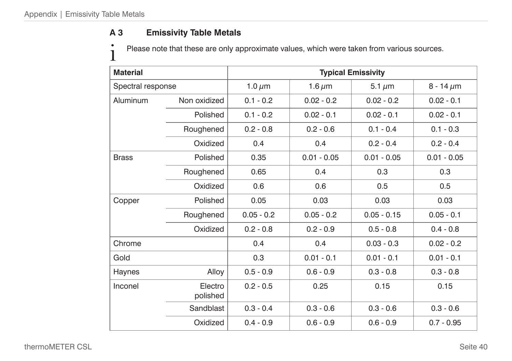## <span id="page-39-1"></span><span id="page-39-0"></span>**A 3 Emissivity Table Metals**

Please note that these are only approximate values, which were taken from various sources.

| <b>Material</b>   |                     | <b>Typical Emissivity</b> |               |               |                |
|-------------------|---------------------|---------------------------|---------------|---------------|----------------|
| Spectral response |                     | 1.0 $\mu$ m               | 1.6 $\mu$ m   | 5.1 $\mu$ m   | $8 - 14 \mu m$ |
| Aluminum          | Non oxidized        | $0.1 - 0.2$               | $0.02 - 0.2$  | $0.02 - 0.2$  | $0.02 - 0.1$   |
|                   | Polished            | $0.1 - 0.2$               | $0.02 - 0.1$  | $0.02 - 0.1$  | $0.02 - 0.1$   |
|                   | Roughened           | $0.2 - 0.8$               | $0.2 - 0.6$   | $0.1 - 0.4$   | $0.1 - 0.3$    |
|                   | Oxidized            | 0.4                       | 0.4           | $0.2 - 0.4$   | $0.2 - 0.4$    |
| <b>Brass</b>      | Polished            | 0.35                      | $0.01 - 0.05$ | $0.01 - 0.05$ | $0.01 - 0.05$  |
|                   | Roughened           | 0.65                      | 0.4           | 0.3           | 0.3            |
|                   | Oxidized            | 0.6                       | 0.6           | 0.5           | 0.5            |
| Copper            | Polished            | 0.05                      | 0.03          | 0.03          | 0.03           |
|                   | Roughened           | $0.05 - 0.2$              | $0.05 - 0.2$  | $0.05 - 0.15$ | $0.05 - 0.1$   |
|                   | Oxidized            | $0.2 - 0.8$               | $0.2 - 0.9$   | $0.5 - 0.8$   | $0.4 - 0.8$    |
| Chrome            |                     | 0.4                       | 0.4           | $0.03 - 0.3$  | $0.02 - 0.2$   |
| Gold              |                     | 0.3                       | $0.01 - 0.1$  | $0.01 - 0.1$  | $0.01 - 0.1$   |
| Haynes            | Alloy               | $0.5 - 0.9$               | $0.6 - 0.9$   | $0.3 - 0.8$   | $0.3 - 0.8$    |
| Inconel           | Electro<br>polished | $0.2 - 0.5$               | 0.25          | 0.15          | 0.15           |
|                   | Sandblast           | $0.3 - 0.4$               | $0.3 - 0.6$   | $0.3 - 0.6$   | $0.3 - 0.6$    |
|                   | Oxidized            | $0.4 - 0.9$               | $0.6 - 0.9$   | $0.6 - 0.9$   | $0.7 - 0.95$   |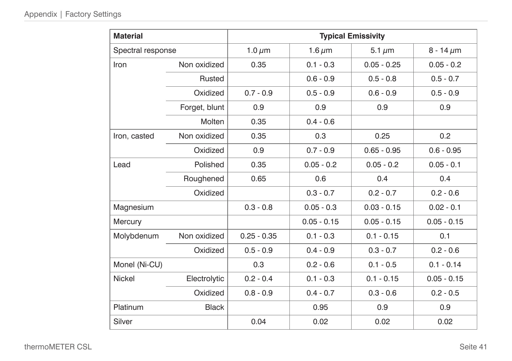| <b>Material</b>   |               | <b>Typical Emissivity</b> |               |               |                |  |
|-------------------|---------------|---------------------------|---------------|---------------|----------------|--|
| Spectral response |               | 1.0 $\mu$ m               | 1.6 $\mu$ m   | 5.1 $\mu$ m   | $8 - 14 \mu m$ |  |
| Iron              | Non oxidized  | 0.35                      | $0.1 - 0.3$   | $0.05 - 0.25$ | $0.05 - 0.2$   |  |
|                   | Rusted        |                           | $0.6 - 0.9$   | $0.5 - 0.8$   | $0.5 - 0.7$    |  |
|                   | Oxidized      | $0.7 - 0.9$               | $0.5 - 0.9$   | $0.6 - 0.9$   | $0.5 - 0.9$    |  |
|                   | Forget, blunt | 0.9                       | 0.9           | 0.9           | 0.9            |  |
|                   | Molten        | 0.35                      | $0.4 - 0.6$   |               |                |  |
| Iron, casted      | Non oxidized  | 0.35                      | 0.3           | 0.25          | 0.2            |  |
|                   | Oxidized      | 0.9                       | $0.7 - 0.9$   | $0.65 - 0.95$ | $0.6 - 0.95$   |  |
| Lead              | Polished      | 0.35                      | $0.05 - 0.2$  | $0.05 - 0.2$  | $0.05 - 0.1$   |  |
|                   | Roughened     | 0.65                      | 0.6           | 0.4           | 0.4            |  |
|                   | Oxidized      |                           | $0.3 - 0.7$   | $0.2 - 0.7$   | $0.2 - 0.6$    |  |
| Magnesium         |               | $0.3 - 0.8$               | $0.05 - 0.3$  | $0.03 - 0.15$ | $0.02 - 0.1$   |  |
| Mercury           |               |                           | $0.05 - 0.15$ | $0.05 - 0.15$ | $0.05 - 0.15$  |  |
| Molybdenum        | Non oxidized  | $0.25 - 0.35$             | $0.1 - 0.3$   | $0.1 - 0.15$  | 0.1            |  |
|                   | Oxidized      | $0.5 - 0.9$               | $0.4 - 0.9$   | $0.3 - 0.7$   | $0.2 - 0.6$    |  |
| Monel (Ni-CU)     |               | 0.3                       | $0.2 - 0.6$   | $0.1 - 0.5$   | $0.1 - 0.14$   |  |
| <b>Nickel</b>     | Electrolytic  | $0.2 - 0.4$               | $0.1 - 0.3$   | $0.1 - 0.15$  | $0.05 - 0.15$  |  |
|                   | Oxidized      | $0.8 - 0.9$               | $0.4 - 0.7$   | $0.3 - 0.6$   | $0.2 - 0.5$    |  |
| Platinum          | <b>Black</b>  |                           | 0.95          | 0.9           | 0.9            |  |
| Silver            |               | 0.04                      | 0.02          | 0.02          | 0.02           |  |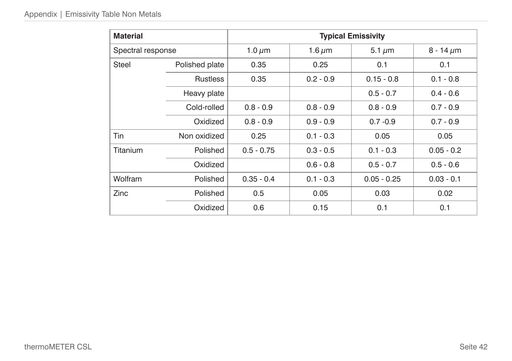| <b>Material</b>   |                 | <b>Typical Emissivity</b> |             |               |                |  |  |
|-------------------|-----------------|---------------------------|-------------|---------------|----------------|--|--|
| Spectral response |                 | 1.0 $\mu$ m               | 1.6 $\mu$ m | 5.1 $\mu$ m   | 8 - 14 $\mu$ m |  |  |
| <b>Steel</b>      | Polished plate  | 0.35                      | 0.25        | 0.1           | 0.1            |  |  |
|                   | <b>Rustless</b> | 0.35                      | $0.2 - 0.9$ | $0.15 - 0.8$  | $0.1 - 0.8$    |  |  |
|                   | Heavy plate     |                           |             | $0.5 - 0.7$   | $0.4 - 0.6$    |  |  |
|                   | Cold-rolled     | $0.8 - 0.9$               | $0.8 - 0.9$ | $0.8 - 0.9$   | $0.7 - 0.9$    |  |  |
|                   | Oxidized        | $0.8 - 0.9$               | $0.9 - 0.9$ | $0.7 - 0.9$   | $0.7 - 0.9$    |  |  |
| Tin               | Non oxidized    | 0.25                      | $0.1 - 0.3$ | 0.05          | 0.05           |  |  |
| Titanium          | Polished        | $0.5 - 0.75$              | $0.3 - 0.5$ | $0.1 - 0.3$   | $0.05 - 0.2$   |  |  |
|                   | Oxidized        |                           | $0.6 - 0.8$ | $0.5 - 0.7$   | $0.5 - 0.6$    |  |  |
| Wolfram           | Polished        | $0.35 - 0.4$              | $0.1 - 0.3$ | $0.05 - 0.25$ | $0.03 - 0.1$   |  |  |
| Zinc              | Polished        | 0.5                       | 0.05        | 0.03          | 0.02           |  |  |
|                   | Oxidized        | 0.6                       | 0.15        | 0.1           | 0.1            |  |  |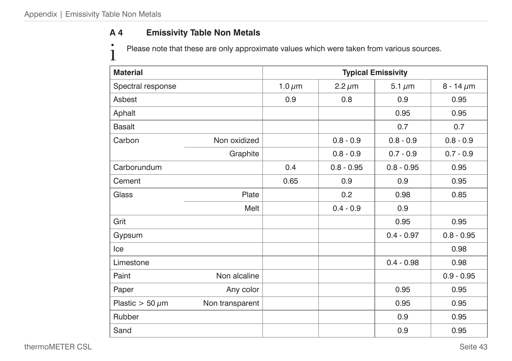## <span id="page-42-1"></span><span id="page-42-0"></span>**A 4 Emissivity Table Non Metals**

Please note that these are only approximate values which were taken from various sources.

| <b>Material</b>        |                 | <b>Typical Emissivity</b> |               |              |                |
|------------------------|-----------------|---------------------------|---------------|--------------|----------------|
| Spectral response      |                 | 1.0 $\mu$ m               | $2.2 \,\mu m$ | 5.1 $\mu$ m  | $8 - 14 \mu m$ |
| Asbest                 |                 | 0.9                       | 0,8           | 0.9          | 0.95           |
| Aphalt                 |                 |                           |               | 0.95         | 0.95           |
| <b>Basalt</b>          |                 |                           |               | 0.7          | 0.7            |
| Carbon                 | Non oxidized    |                           | $0.8 - 0.9$   | $0.8 - 0.9$  | $0.8 - 0.9$    |
|                        | Graphite        |                           | $0.8 - 0.9$   | $0.7 - 0.9$  | $0.7 - 0.9$    |
| Carborundum            |                 | 0.4                       | $0.8 - 0.95$  | $0.8 - 0.95$ | 0.95           |
| Cement                 |                 | 0.65                      | 0.9           | 0.9          | 0.95           |
| Glass                  | Plate           |                           | 0.2           | 0.98         | 0.85           |
|                        | Melt            |                           | $0.4 - 0.9$   | 0.9          |                |
| Grit                   |                 |                           |               | 0.95         | 0.95           |
| Gypsum                 |                 |                           |               | $0.4 - 0.97$ | $0.8 - 0.95$   |
| Ice                    |                 |                           |               |              | 0.98           |
| Limestone              |                 |                           |               | $0.4 - 0.98$ | 0.98           |
| Paint                  | Non alcaline    |                           |               |              | $0.9 - 0.95$   |
| Paper                  | Any color       |                           |               | 0.95         | 0.95           |
| Plastic $>$ 50 $\mu$ m | Non transparent |                           |               | 0.95         | 0.95           |
| Rubber                 |                 |                           |               | 0.9          | 0.95           |
| Sand                   |                 |                           |               | 0.9          | 0.95           |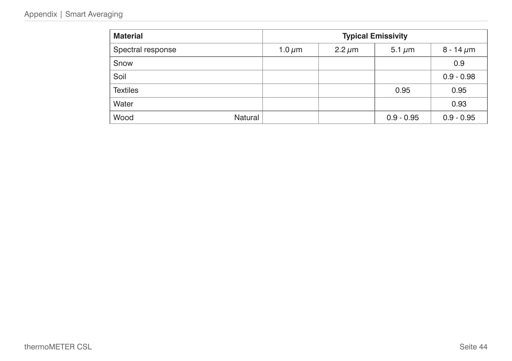### Appendix | Smart Averaging

| <b>Material</b>   |         | <b>Typical Emissivity</b> |             |              |                |
|-------------------|---------|---------------------------|-------------|--------------|----------------|
| Spectral response |         | 1.0 $\mu$ m               | $2.2 \mu m$ | 5.1 $\mu$ m  | 8 - 14 $\mu$ m |
| Snow              |         |                           |             |              | 0.9            |
| Soil              |         |                           |             |              | $0.9 - 0.98$   |
| <b>Textiles</b>   |         |                           |             | 0.95         | 0.95           |
| Water             |         |                           |             |              | 0.93           |
| Wood              | Natural |                           |             | $0.9 - 0.95$ | $0.9 - 0.95$   |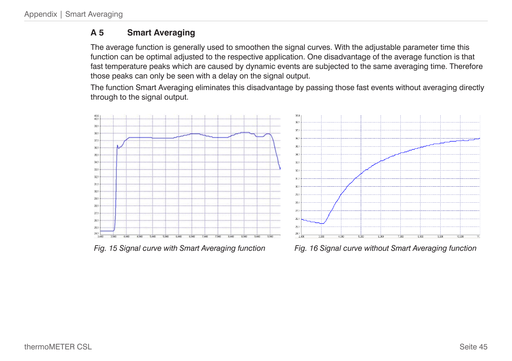## <span id="page-44-1"></span><span id="page-44-0"></span>**A 5 Smart Averaging**

The average function is generally used to smoothen the signal curves. With the adjustable parameter time this function can be optimal adjusted to the respective application. One disadvantage of the average function is that fast temperature peaks which are caused by dynamic events are subjected to the same averaging time. Therefore those peaks can only be seen with a delay on the signal output.

The function Smart Averaging eliminates this disadvantage by passing those fast events without averaging directly through to the signal output.



*Fig. 15 Signal curve with Smart Averaging function Fig. 16 Signal curve without Smart Averaging function*